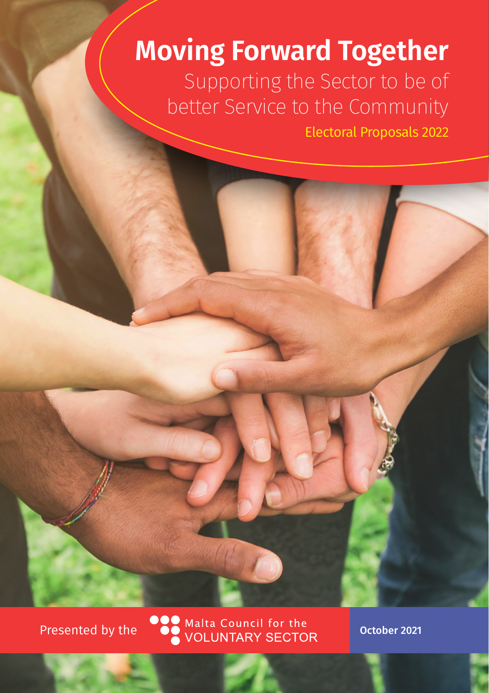# **Moving Forward Together**

Supporting the Sector to be of better Service to the Community

Electoral Proposals 2022

Presented by the COM Malta Council for the October 2021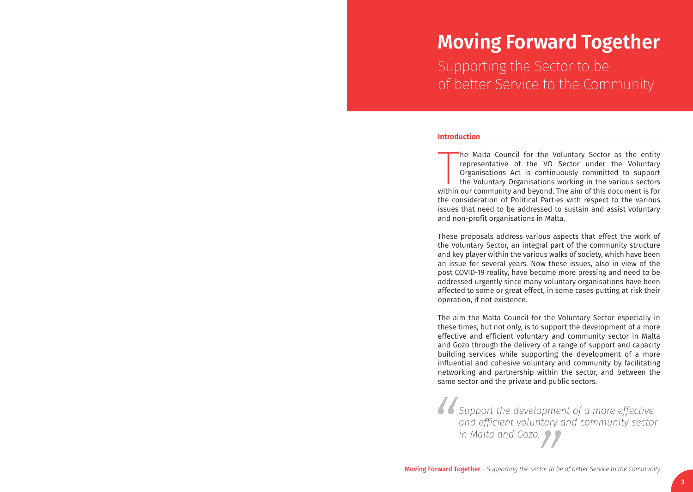# **Moving Forward Together**

Supporting the Sector to be of better Service to the Community

#### **Introduction**

The Malta Council for the Voluntary Sector as the entity representative of the VO Sector under the Voluntary Organisations Act is continuously committed to support the Voluntary Organisations working in the various sectors he Malta Council for the Voluntary Sector as the entity representative of the VO Sector under the Voluntary Organisations Act is continuously committed to support the Voluntary Organisations working in the various sectors the consideration of Political Parties with respect to the various issues that need to be addressed to sustain and assist voluntary and non-profit organisations in Malta.

These proposals address various aspects that effect the work of the Voluntary Sector, an integral part of the community structure and key player within the various walks of society, which have been an issue for several years. Now these issues, also in view of the post COVID-19 reality, have become more pressing and need to be addressed urgently since many voluntary organisations have been affected to some or great effect, in some cases putting at risk their operation, if not existence.

The aim the Malta Council for the Voluntary Sector especially in these times, but not only, is to support the development of a more effective and efficient voluntary and community sector in Malta and Gozo through the delivery of a range of support and capacity building services while supporting the development of a more influential and cohesive voluntary and community by facilitating networking and partnership within the sector, and between the same sector and the private and public sectors.

*Support the development of a more effective and efficient voluntary and community sector in Malta and Gozo.*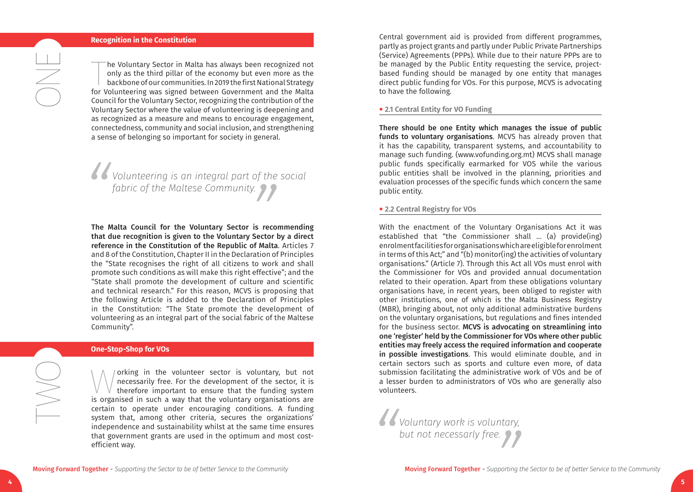#### **Recognition in the Constitution**

The Voluntary Sector in Malta has always been recognized not only as the third pillar of the economy but even more as the backbone of our communities. In 2019 the first National Strategy for Volunteering was signed between he Voluntary Sector in Malta has always been recognized not only as the third pillar of the economy but even more as the backbone of our communities. In 2019 the first National Strategy Council for the Voluntary Sector, recognizing the contribution of the Voluntary Sector where the value of volunteering is deepening and as recognized as a measure and means to encourage engagement, connectedness, community and social inclusion, and strengthening a sense of belonging so important for society in general.

*Volunteering is an integral part of the social fabric of the Maltese Community.*

The Malta Council for the Voluntary Sector is recommending that due recognition is given to the Voluntary Sector by a direct reference in the Constitution of the Republic of Malta. Articles 7 and 8 of the Constitution, Chapter II in the Declaration of Principles the "State recognises the right of all citizens to work and shall promote such conditions as will make this right effective"; and the "State shall promote the development of culture and scientific and technical research." For this reason, MCVS is proposing that the following Article is added to the Declaration of Principles in the Constitution: "The State promote the development of volunteering as an integral part of the social fabric of the Maltese Community".

#### **One-Stop-Shop for VOs**

Working in the volunteer sector is voluntary, but not necessarily free. For the development of the sector, it is therefore important to ensure that the funding system is organised in such a way that the voluntary organisat necessarily free. For the development of the sector, it is therefore important to ensure that the funding system certain to operate under encouraging conditions. A funding system that, among other criteria, secures the organizations' independence and sustainability whilst at the same time ensures that government grants are used in the optimum and most costefficient way.

Central government aid is provided from different programmes, partly as project grants and partly under Public Private Partnerships (Service) Agreements (PPPs). While due to their nature PPPs are to be managed by the Public Entity requesting the service, projectbased funding should be managed by one entity that manages direct public funding for VOs. For this purpose, MCVS is advocating to have the following.

#### • **2.1 Central Entity for VO Funding**

There should be one Entity which manages the issue of public funds to voluntary organisations. MCVS has already proven that it has the capability, transparent systems, and accountability to manage such funding. (www.vofunding.org.mt) MCVS shall manage public funds specifically earmarked for VOS while the various public entities shall be involved in the planning, priorities and evaluation processes of the specific funds which concern the same public entity.

#### • **2.2 Central Registry for VOs**

With the enactment of the Voluntary Organisations Act it was established that "the Commissioner shall … (a) provide(ing) enrolment facilities for organisations which are eligible for enrolment in terms of this Act;" and "(b) monitor(ing) the activities of voluntary organisations." (Article 7). Through this Act all VOs must enrol with the Commissioner for VOs and provided annual documentation related to their operation. Apart from these obligations voluntary organisations have, in recent years, been obliged to register with other institutions, one of which is the Malta Business Registry (MBR), bringing about, not only additional administrative burdens on the voluntary organisations, but regulations and fines intended for the business sector. MCVS is advocating on streamlining into one 'register' held by the Commissioner for VOs where other public entities may freely access the required information and cooperate in possible investigations. This would eliminate double, and in certain sectors such as sports and culture even more, of data submission facilitating the administrative work of VOs and be of a lesser burden to administrators of VOs who are generally also volunteers.

*Voluntary work is voluntary, but not necessarly free.*

SSS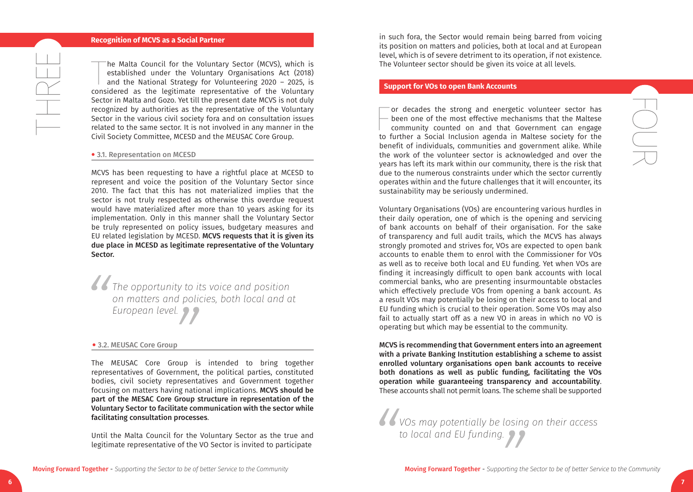#### **Recognition of MCVS as a Social Partner**

The Malta Council for the Voluntary Sector (MCVS), which is<br>established under the Voluntary Organisations Act (2018)<br>and the National Strategy for Volunteering 2020 – 2025, is<br>considered as the legitimate representative of he Malta Council for the Voluntary Sector (MCVS), which is established under the Voluntary Organisations Act (2018) and the National Strategy for Volunteering 2020 – 2025, is Sector in Malta and Gozo. Yet till the present date MCVS is not duly recognized by authorities as the representative of the Voluntary Sector in the various civil society fora and on consultation issues related to the same sector. It is not involved in any manner in the Civil Society Committee, MCESD and the MEUSAC Core Group.

#### • 3.1. Representation on MCESD

 $\begin{array}{c} \begin{array}{c} \begin{array}{c} \begin{array}{c} \end{array} \\ \begin{array}{c} \end{array} \end{array} \end{array} \end{array} \end{array}$ 

MCVS has been requesting to have a rightful place at MCESD to represent and voice the position of the Voluntary Sector since 2010. The fact that this has not materialized implies that the sector is not truly respected as otherwise this overdue request would have materialized after more than 10 years asking for its implementation. Only in this manner shall the Voluntary Sector be truly represented on policy issues, budgetary measures and EU related legislation by MCESD. MCVS requests that it is given its due place in MCESD as legitimate representative of the Voluntary Sector.

*The opportunity to its voice and position on matters and policies, both local and at European level.*

#### • 3.2. MEUSAC Core Group

The MEUSAC Core Group is intended to bring together representatives of Government, the political parties, constituted bodies, civil society representatives and Government together focusing on matters having national implications. MCVS should be part of the MESAC Core Group structure in representation of the Voluntary Sector to facilitate communication with the sector while facilitating consultation processes.

Until the Malta Council for the Voluntary Sector as the true and legitimate representative of the VO Sector is invited to participate

in such fora, the Sector would remain being barred from voicing its position on matters and policies, both at local and at European level, which is of severe detriment to its operation, if not existence. The Volunteer sector should be given its voice at all levels.

#### **Support for VOs to open Bank Accounts**

For decades the strong and energetic volunteer sector has<br>been one of the most effective mechanisms that the Maltese<br>community counted on and that Government can engage<br>to further a Social Inclusion agenda in Maltese socie or decades the strong and energetic volunteer sector has been one of the most effective mechanisms that the Maltese community counted on and that Government can engage benefit of individuals, communities and government alike. While the work of the volunteer sector is acknowledged and over the years has left its mark within our community, there is the risk that due to the numerous constraints under which the sector currently operates within and the future challenges that it will encounter, its sustainability may be seriously undermined.

Voluntary Organisations (VOs) are encountering various hurdles in their daily operation, one of which is the opening and servicing of bank accounts on behalf of their organisation. For the sake of transparency and full audit trails, which the MCVS has always strongly promoted and strives for, VOs are expected to open bank accounts to enable them to enrol with the Commissioner for VOs as well as to receive both local and EU funding. Yet when VOs are finding it increasingly difficult to open bank accounts with local commercial banks, who are presenting insurmountable obstacles which effectively preclude VOs from opening a bank account. As a result VOs may potentially be losing on their access to local and EU funding which is crucial to their operation. Some VOs may also fail to actually start off as a new VO in areas in which no VO is operating but which may be essential to the community.

MCVS is recommending that Government enters into an agreement with a private Banking Institution establishing a scheme to assist enrolled voluntary organisations open bank accounts to receive both donations as well as public funding, facilitating the VOs operation while guaranteeing transparency and accountability. These accounts shall not permit loans. The scheme shall be supported

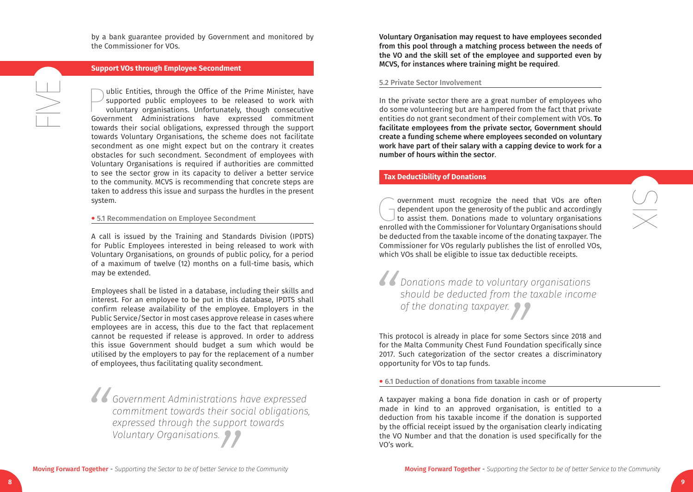by a bank guarantee provided by Government and monitored by the Commissioner for VOs.

## **Support VOs through Employee Secondment**

public Entities, through the Office of the Prime Minister, have<br>supported public employees to be released to work with<br>voluntary organisations. Unfortunately, though consecutive<br>Government Administrations have expressed co supported public employees to be released to work with voluntary organisations. Unfortunately, though consecutive Government Administrations have expressed commitment towards their social obligations, expressed through the support towards Voluntary Organisations, the scheme does not facilitate secondment as one might expect but on the contrary it creates obstacles for such secondment. Secondment of employees with Voluntary Organisations is required if authorities are committed to see the sector grow in its capacity to deliver a better service to the community. MCVS is recommending that concrete steps are taken to address this issue and surpass the hurdles in the present system.

#### • 5.1 Recommendation on Employee Secondment

A call is issued by the Training and Standards Division (IPDTS) for Public Employees interested in being released to work with Voluntary Organisations, on grounds of public policy, for a period of a maximum of twelve (12) months on a full-time basis, which may be extended.

Employees shall be listed in a database, including their skills and interest. For an employee to be put in this database, IPDTS shall confirm release availability of the employee. Employers in the Public Service/Sector in most cases approve release in cases where employees are in access, this due to the fact that replacement cannot be requested if release is approved. In order to address this issue Government should budget a sum which would be utilised by the employers to pay for the replacement of a number of employees, thus facilitating quality secondment.

*Government Administrations have expressed commitment towards their social obligations, expressed through the support towards Voluntary Organisations.*

Voluntary Organisation may request to have employees seconded from this pool through a matching process between the needs of the VO and the skill set of the employee and supported even by MCVS, for instances where training might be required.

#### 5.2 Private Sector Involvement

In the private sector there are a great number of employees who do some volunteering but are hampered from the fact that private entities do not grant secondment of their complement with VOs. To facilitate employees from the private sector, Government should create a funding scheme where employees seconded on voluntary work have part of their salary with a capping device to work for a number of hours within the sector .

# **Tax Deductibility of Donations**

Government must recognize the need that VOs are often dependent upon the generosity of the public and accordingly to assist them. Donations made to voluntary organisations enrolled with the Commissioner for Voluntary Organ dependent upon the generosity of the public and accordingly to assist them. Donations made to voluntary organisations be deducted from the taxable income of the donating taxpayer. The Commissioner for VOs regularly publishes the list of enrolled VOs, which VOs shall be eligible to issue tax deductible receipts.

*Donations made to voluntary organisations should be deducted from the taxable income of the donating taxpayer.*

This protocol is already in place for some Sectors since 2018 and for the Malta Community Chest Fund Foundation specifically since 2017. Such categorization of the sector creates a discriminatory opportunity for VOs to tap funds.

• 6.1 Deduction of donations from taxable income

A taxpayer making a bona fide donation in cash or of property made in kind to an approved organisation, is entitled to a deduction from his taxable income if the donation is supported by the official receipt issued by the organisation clearly indicating the VO Number and that the donation is used specifically for the VO's work.

**9**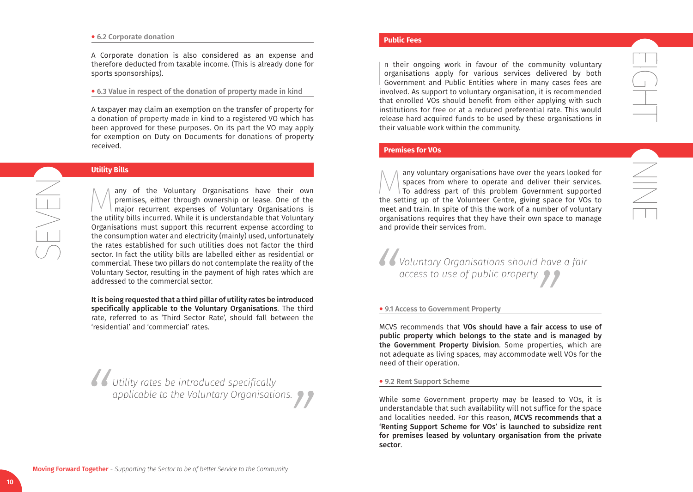#### • 6.2 Corporate donation

A Corporate donation is also considered as an expense and therefore deducted from taxable income. (This is already done for sports sponsorships).

#### • 6.3 Value in respect of the donation of property made in kind

A taxpayer may claim an exemption on the transfer of property for a donation of property made in kind to a registered VO which has been approved for these purposes. On its part the VO may apply for exemption on Duty on Documents for donations of property received.

### **Utility Bills**

 $\sum_{i=1}^{n}$ 

 $\bigwedge$  any of the Voluntary Organisations have their own<br>premises, either through ownership or lease. One of the<br>major recurrent expenses of Voluntary Organisations is<br>the utility bills incurred. While it is understandabl premises, either through ownership or lease. One of the major recurrent expenses of Voluntary Organisations is the utility bills incurred. While it is understandable that Voluntary Organisations must support this recurrent expense according to the consumption water and electricity (mainly) used, unfortunately the rates established for such utilities does not factor the third sector. In fact the utility bills are labelled either as residential or commercial. These two pillars do not contemplate the reality of the Voluntary Sector, resulting in the payment of high rates which are addressed to the commercial sector.

It is being requested that a third pillar of utility rates be introduced specifically applicable to the Voluntary Organisations. The third rate, referred to as 'Third Sector Rate', should fall between the 'residential' and 'commercial' rates.

*Utility rates be introduced specifically applicable to the Voluntary Organisations.*

#### **Public Fees**

In their ongoing work in favour of the community voluntary organisations apply for various services delivered by both Government and Public Entities where in many cases fees are involved. As support to voluntary organisati n their ongoing work in favour of the community voluntary organisations apply for various services delivered by both Government and Public Entities where in many cases fees are that enrolled VOs should benefit from either applying with such institutions for free or at a reduced preferential rate. This would release hard acquired funds to be used by these organisations in their valuable work within the community.

 $\frac{1}{\sqrt{1-\frac{1}{2}}}$ 

NE

# **Premises for VOs**

 $\bigvee$  any voluntary organisations have over the years looked for spaces from where to operate and deliver their services.<br>To address part of this problem Government supported the setting up of the Volunteer Centre, givin spaces from where to operate and deliver their services. To address part of this problem Government supported the setting up of the Volunteer Centre, giving space for VOs to meet and train. In spite of this the work of a number of voluntary organisations requires that they have their own space to manage and provide their services from.

*Voluntary Organisations should have a fair access to use of public property.*

#### • 9.1 Access to Government Property

MCVS recommends that VOs should have a fair access to use of public property which belongs to the state and is managed by the Government Property Division. Some properties, which are not adequate as living spaces, may accommodate well VOs for the need of their operation.

#### • 9.2 Rent Support Scheme

While some Government property may be leased to VOs, it is understandable that such availability will not suffice for the space and localities needed. For this reason, MCVS recommends that a 'Renting Support Scheme for VOs' is launched to subsidize rent for premises leased by voluntary organisation from the private sector.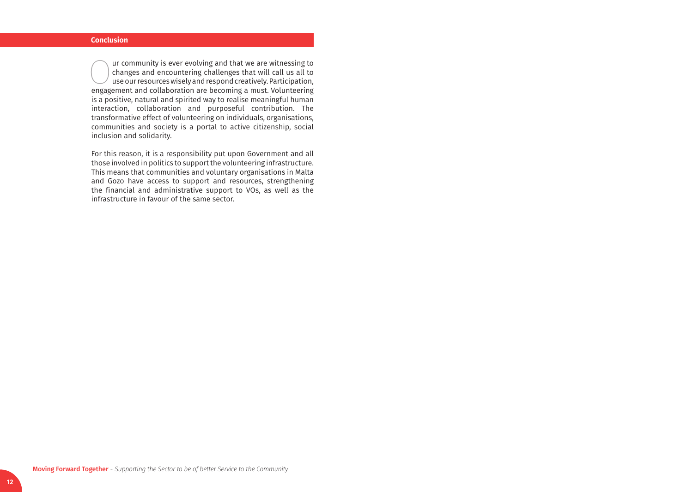The urcommunity is ever evolving and that we are witnessing to<br>changes and encountering challenges that will call us all to<br>use our resources wisely and respond creatively. Participation,<br>engagement and collaboration are b changes and encountering challenges that will call us all to use our resources wisely and respond creatively. Participation, engagement and collaboration are becoming a must. Volunteering is a positive, natural and spirited way to realise meaningful human interaction, collaboration and purposeful contribution. The transformative effect of volunteering on individuals, organisations, communities and society is a portal to active citizenship, social inclusion and solidarity.

For this reason, it is a responsibility put upon Government and all those involved in politics to support the volunteering infrastructure. This means that communities and voluntary organisations in Malta and Gozo have access to support and resources, strengthening the financial and administrative support to VOs, as well as the infrastructure in favour of the same sector.